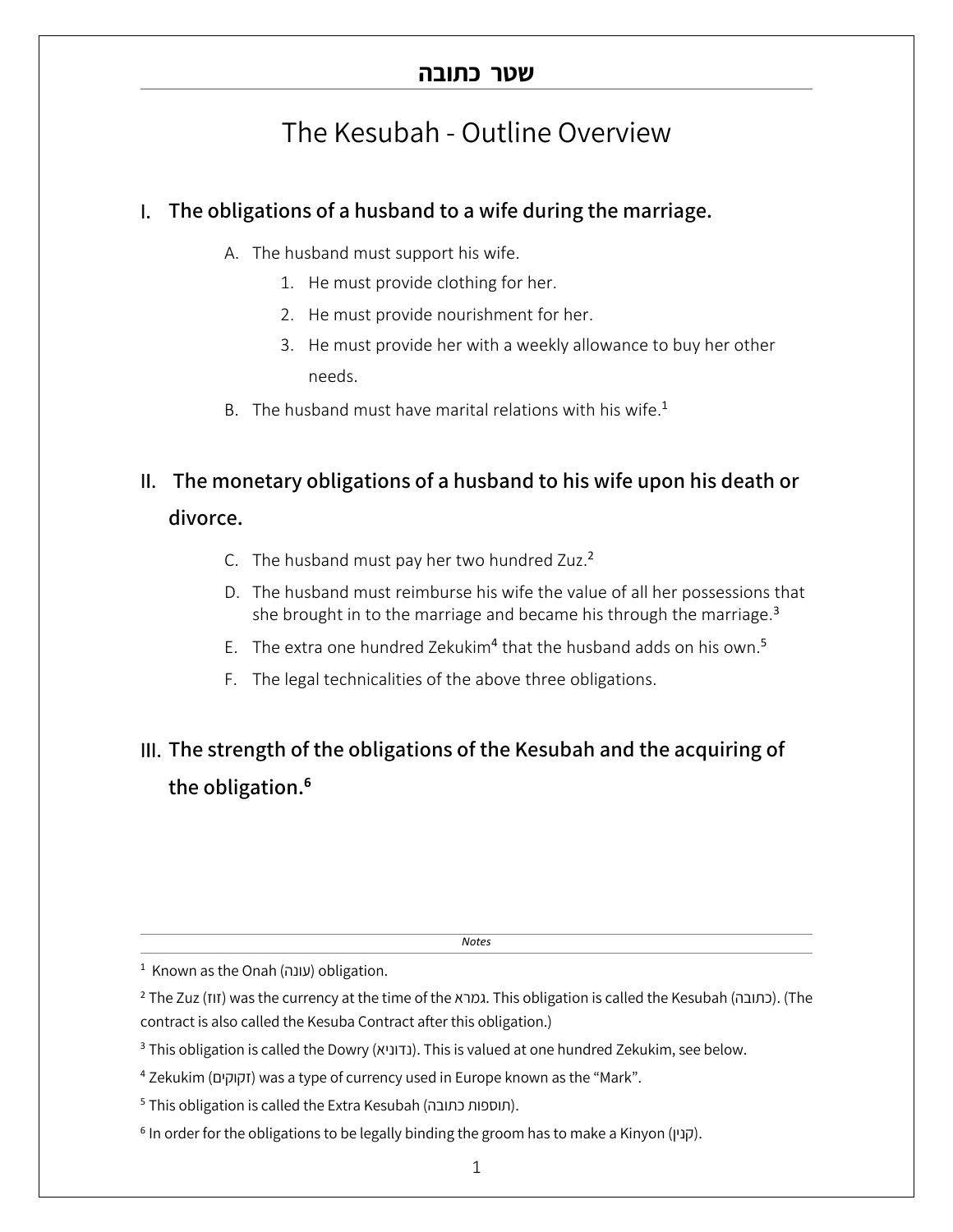## The Kesubah - Outline Overview

### I. **The obligations of a husband to a wife during the marriage.**

- A. The husband must support his wife.
	- 1. He must provide clothing for her.
	- 2. He must provide nourishment for her.
	- 3. He must provide her with a weekly allowance to buy her other needs.
- B. The husband must have marital relations with his wife.<sup>1</sup>

# II. **The monetary obligations of a husband to his wife upon his death or**

#### **divorce.**

- C. The husband must pay her two hundred Zuz.<sup>2</sup>
- D. The husband must reimburse his wife the value of all her possessions that she brought in to the marriage and became his through the marriage.<sup>3</sup>
- E. The extra one hundred Zekukim<sup>4</sup> that the husband adds on his own.<sup>5</sup>
- F. The legal technicalities of the above three obligations.

## III. **The strength of the obligations of the Kesubah and the acquiring of the obligation. 6**

*Notes*

<sup>1</sup> Known as the Onah (עונה) obligation.

<sup>2</sup> The Zuz ( $\pi$ II) was the currency at the time of the אמרא. This obligation is called the Kesubah (כתובה). (The contract is also called the Kesuba Contract after this obligation.)

<sup>6</sup> In order for the obligations to be legally binding the groom has to make a Kinyon (וקנין).

<sup>&</sup>lt;sup>3</sup> This obligation is called the Dowry (גדוניא). This is valued at one hundred Zekukim, see below.

<sup>&</sup>lt;sup>4</sup> Zekukim (זקוקים) was a type of currency used in Europe known as the "Mark".

<sup>5</sup> This obligation is called the Extra Kesubah (תוספות כתובה).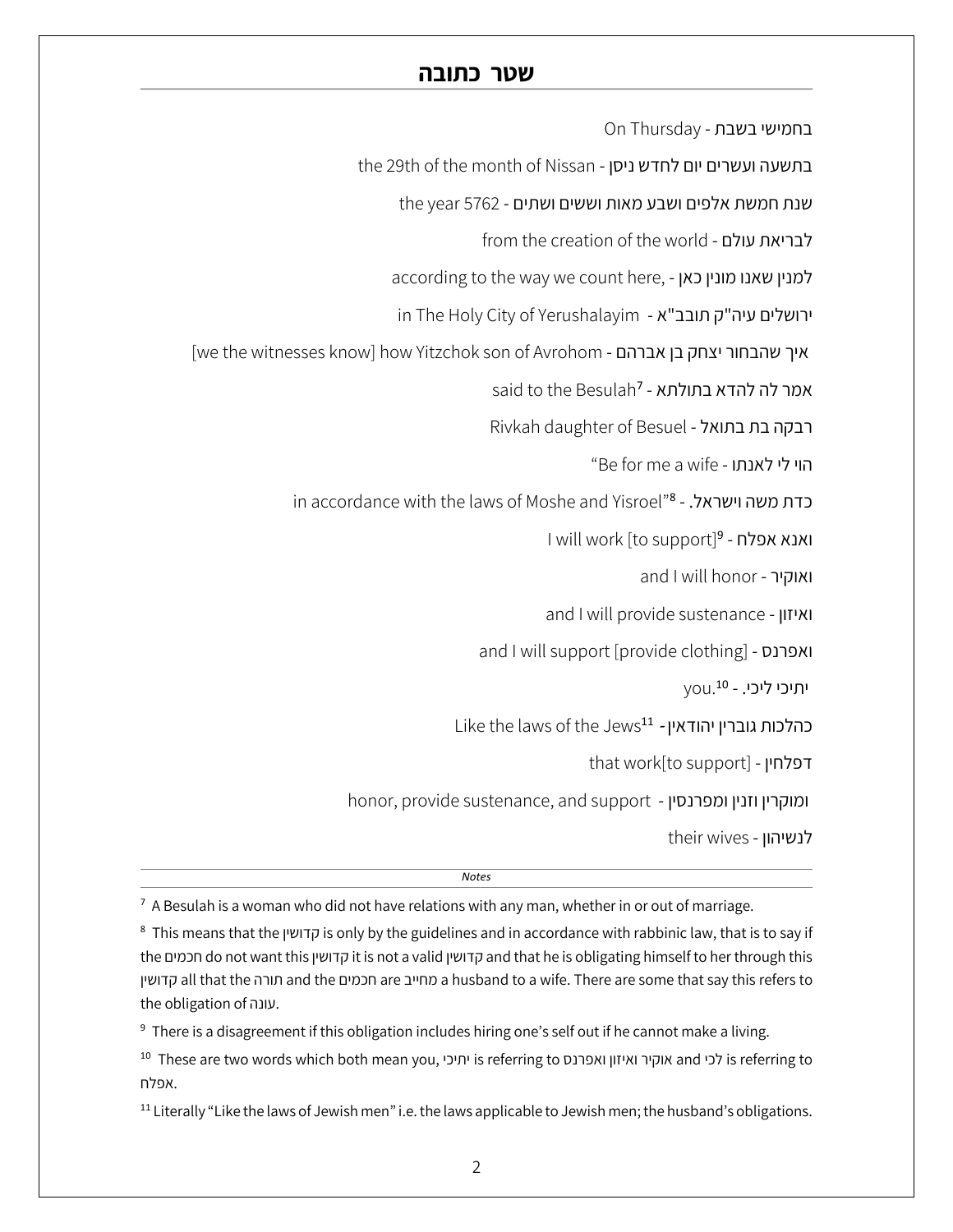On Thursday - בחמישי בשבת

the 29th of the month of Nissan - בתשעה ועשרים יום לחדש ניסן

תות תמשת אלפים ושבע מאות וששים ושתים - 5762 the year

from the creation of the world - לבריאת עולם

according to the way we count here, - למנין שאנו מונין כאן

in The Holy City of Yerushalayim - ירושלים עיה"ק תובב"א

[we the witnesses know] how Yitzchok son of Avrohom - איך שהבחור יצחק בן אברהם

Besulah<sup>7</sup> - אמר לה להדא בתולתא

Rivkah daughter of Besuel - רבקה בת בתואל

"Be for me a wife - ותנאל יל יוה

in accordance with the laws of Moshe and Yisroel"8 - כדת משה וישראל.

ואנא אפלח - 1will work [to support]<sup>9</sup>

and I will honor - ואוקיר

and I will provide sustenance - ןוזיאו

and I will support [provide clothing] - ואפרנס

יתיכי ליכי. - <sup>10</sup> vou.

נהלכות גוברין יהודאין - 11ke the laws of the Jews<sup>11</sup>

that work[to support] - ןיחלפד

honor, provide sustenance, and support - ומוקרין וזנין ומפרנסין

their wives - לנשיהון

*Notes*

 $<sup>7</sup>$  A Besulah is a woman who did not have relations with any man, whether in or out of marriage.</sup>

<sup>8</sup> This means that the ןישודק is only by the guidelines and in accordance with rabbinic law, that is to say if the םימכח do not want this ןישודק it is not a valid ןישודק and that he is obligating himself to her through this ןישודק all that the הרות and the םימכח are בייחמ a husband to a wife. There are some that say this refers to the obligation of .עונה.

<sup>9</sup> There is a disagreement if this obligation includes hiring one's self out if he cannot make a living.

<sup>10</sup> These are two words which both mean you, יכיתי is referring to סנרפאו ןוזיאו ריקוא and יכל is referring to אפלח.

<sup>11</sup> Literally "Like the laws of Jewish men" i.e. the laws applicable to Jewish men; the husband's obligations.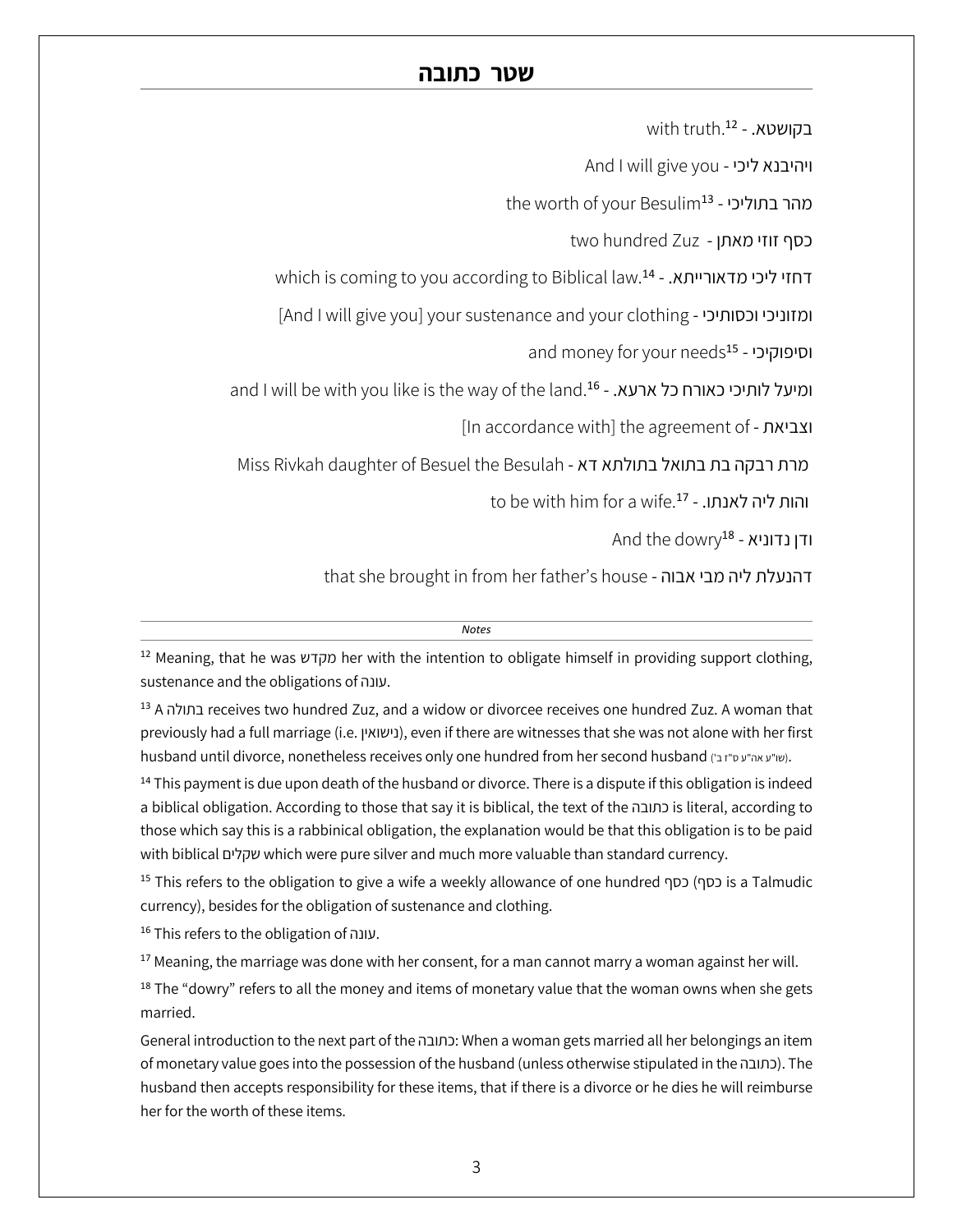with truth.<sup>12</sup> - .בקושטא

And I will give you - ויהיבנא ליכי

the worth of your Besulim<sup>13</sup> - יכהר בתוליכי

two hundred Zuz - כסף זוזי מאתן

which is coming to you according to Biblical law.<sup>14</sup> - דחזי ליכי מדאורייתא.

[And I will give you] your sustenance and your clothing - ומזוניכי וכסותיכי

and money for your needs<sup>15</sup> - וסיפוקיכי

and I will be with you like is the way of the land.<sup>16</sup> - ומיעל לותיכי כאורח כל ארעא.

[In accordance with] the agreement of - תאיבצו

Miss Rivkah daughter of Besuel the Besulah - ארת רבקה בת בתואל בתולתא דא

to be with him for a wife.<sup>17</sup> - והות ליה לאנתו.

And the dowry<sup>18</sup> - ודן נדוניא

that she brought in from her father's house - דהנעלת ליה מבי אבוה

#### *Notes*

<sup>12</sup> Meaning, that he was מקדש her with the intention to obligate himself in providing support clothing, sustenance and the obligations of הנוע .

<sup>13</sup> A הלותב receives two hundred Zuz, and a widow or divorcee receives one hundred Zuz. A woman that previously had a full marriage (i.e. ןיאושינ( , even if there are witnesses that she was not alone with her first husband until divorce, nonetheless receives only one hundred from her second husband (יש"ע אה"ע ס"ז בי).

 $14$  This payment is due upon death of the husband or divorce. There is a dispute if this obligation is indeed a biblical obligation. According to those that say it is biblical, the text of the הבותכ is literal, according to those which say this is a rabbinical obligation, the explanation would be that this obligation is to be paid with biblical םילקש which were pure silver and much more valuable than standard currency.

<sup>15</sup> This refers to the obligation to give a wife a weekly allowance of one hundred פסף) כסף is a Talmudic currency), besides for the obligation of sustenance and clothing.

16 This refers to the obligation of .עונה.

 $17$  Meaning, the marriage was done with her consent, for a man cannot marry a woman against her will.

 $18$  The "dowry" refers to all the money and items of monetary value that the woman owns when she gets married.

General introduction to the next part of the כתובה: When a woman gets married all her belongings an item of monetary value goes into the possession of the husband (unless otherwise stipulated in the הבתובה). The husband then accepts responsibility for these items, that if there is a divorce or he dies he will reimburse her for the worth of these items.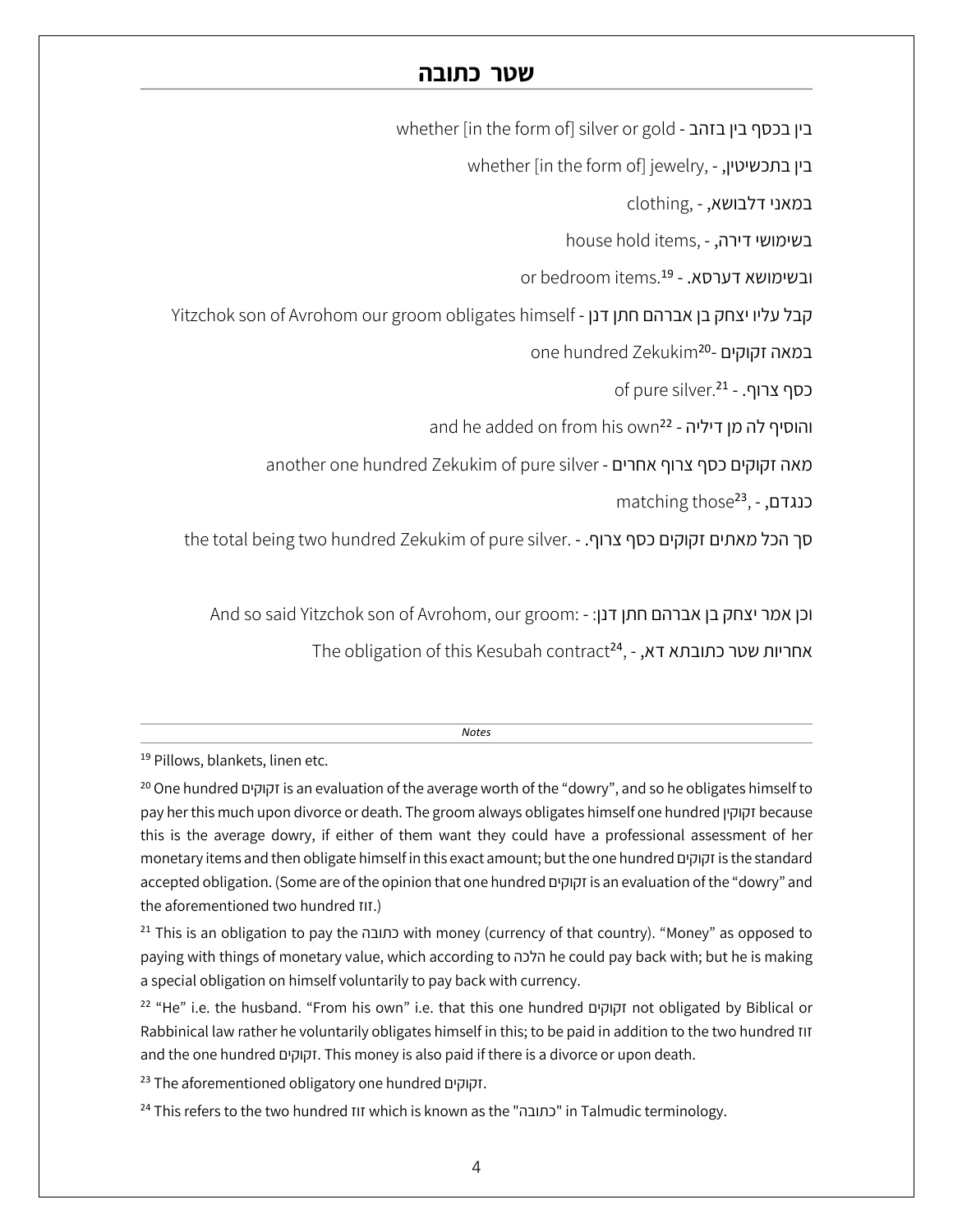whether [in the form of] silver or gold - בין בכסף בין בזהב

whether [in the form of] jewelry, - ,בין בתכשיטין

clothing, - ,במאני דלבושא

house hold items, - בשימושי דירה,

or bedroom items.<sup>19</sup> - ובשימושא דערסא.

Yitzchok son of Avrohom our groom obligates himself - קבל עליו יצחק בן אברהם חתן דנן

one hundred Zekukim<sup>20</sup>- במאה זקוקים

of pure silver.<sup>21</sup> - .כסף צרוף

and he added on from his own<sup>22</sup> - והוסיף לה מן דיליה

another one hundred Zekukim of pure silver - מאה זקוקים כסף צרוף אחרים

matching those<sup>23</sup>, - כנגדם,

the total being two hundred Zekukim of pure silver. - . סך הכל מאתים זקוקים כסף צרוף

And so said Yitzchok son of Avrohom, our groom: - וכן אמר יצחק בן אברהם חתן דנן:

The obligation of this Kesubah contract<sup>24</sup>, - אחריות שטר כתובתא דא,

*Notes*

<sup>19</sup> Pillows, blankets, linen etc.

<sup>20</sup> One hundred םיקוקז is an evaluation of the average worth of the "dowry", and so he obligates himself to pay her this much upon divorce or death. The groom always obligates himself one hundred ןיקוקז because this is the average dowry, if either of them want they could have a professional assessment of her monetary items and then obligate himself in this exact amount; but the one hundred םיקוקז is the standard accepted obligation. (Some are of the opinion that one hundred םיקוקז is an evaluation of the "dowry" and the aforementioned two hundred TIT.)

<sup>21</sup> This is an obligation to pay the כתובה with money (currency of that country). "Money" as opposed to paying with things of monetary value, which according to הכלה he could pay back with; but he is making a special obligation on himself voluntarily to pay back with currency.

<sup>22</sup> "He" i.e. the husband. "From his own" i.e. that this one hundred םיקוקז not obligated by Biblical or Rabbinical law rather he voluntarily obligates himself in this; to be paid in addition to the two hundred זוז and the one hundred םיקוקז . This money is also paid if there is a divorce or upon death.

<sup>23</sup> The aforementioned obligatory one hundred וקוקים.

<sup>24</sup> This refers to the two hundred  $I$ II which is known as the "המובה" in Talmudic terminology.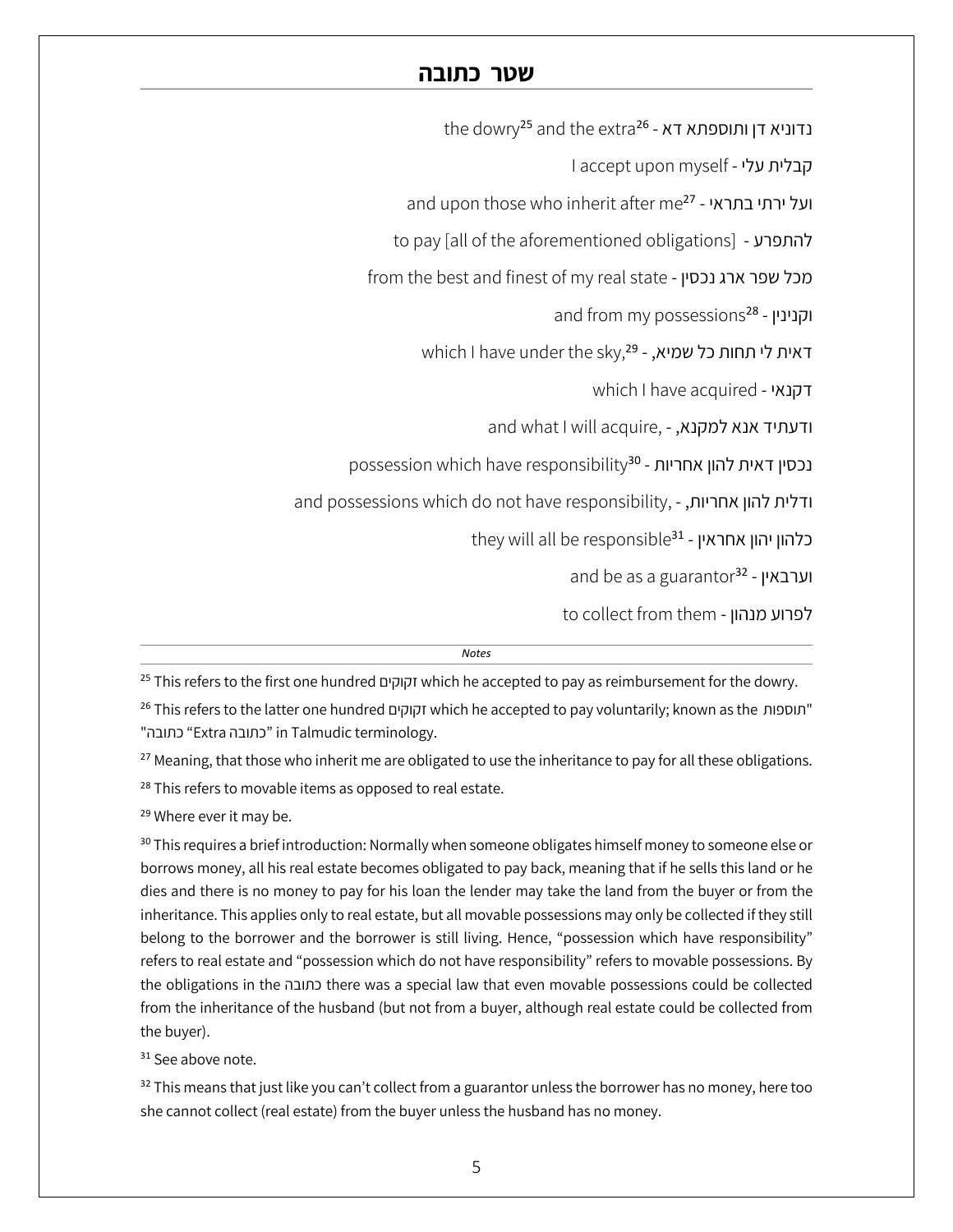the dowry<sup>25</sup> and the extra<sup>26</sup> - צדוניא דן ותוספתא דא

I accept upon myself - קבלית עלי

and upon those who inherit after me<sup>27</sup> - ועל ירתי בתראי

to pay [all of the aforementioned obligations] - להתפרע

from the best and finest of my real state - מכל שפר ארג נכסין

and from my possessions<sup>28</sup> - וקנינין

which I have under the sky,<sup>29</sup> - דאית לי תחות כל שמיא,

which I have acquired - ידקנאי

and what I will acquire, - ודעתיד אנא למקנא,

possession which have responsibility<sup>30</sup> - נכסין דאית להון אחריות

and possessions which do not have responsibility, - ודלית להון אחריות,

they will all be responsible<sup>31</sup> - כלהון יהון אחראין

and be as a guarantor<sup>32</sup> - וערבאין

to collect from them - לפרוע מנהון

| <b>Notes</b>                                                                                                       |
|--------------------------------------------------------------------------------------------------------------------|
| <sup>25</sup> This refers to the first one hundred וקוקים which he accepted to pay as reimbursement for the dowry. |

<sup>26</sup> This refers to the latter one hundred וקוקים which he accepted to pay voluntarily; known as the תוספות" "Calmudic terminology. "כתובה" in Talmudic terminology.

<sup>27</sup> Meaning, that those who inherit me are obligated to use the inheritance to pay for all these obligations. <sup>28</sup> This refers to movable items as opposed to real estate.

<sup>29</sup> Where ever it may be.

<sup>30</sup> This requires a brief introduction: Normally when someone obligates himself money to someone else or borrows money, all his real estate becomes obligated to pay back, meaning that if he sells this land or he dies and there is no money to pay for his loan the lender may take the land from the buyer or from the inheritance. This applies only to real estate, but all movable possessions may only be collected if they still belong to the borrower and the borrower is still living. Hence, "possession which have responsibility" refers to real estate and "possession which do not have responsibility" refers to movable possessions. By the obligations in the הבותכ there was a special law that even movable possessions could be collected from the inheritance of the husband (but not from a buyer, although real estate could be collected from the buyer).

<sup>31</sup> See above note.

<sup>32</sup> This means that just like you can't collect from a guarantor unless the borrower has no money, here too she cannot collect (real estate) from the buyer unless the husband has no money.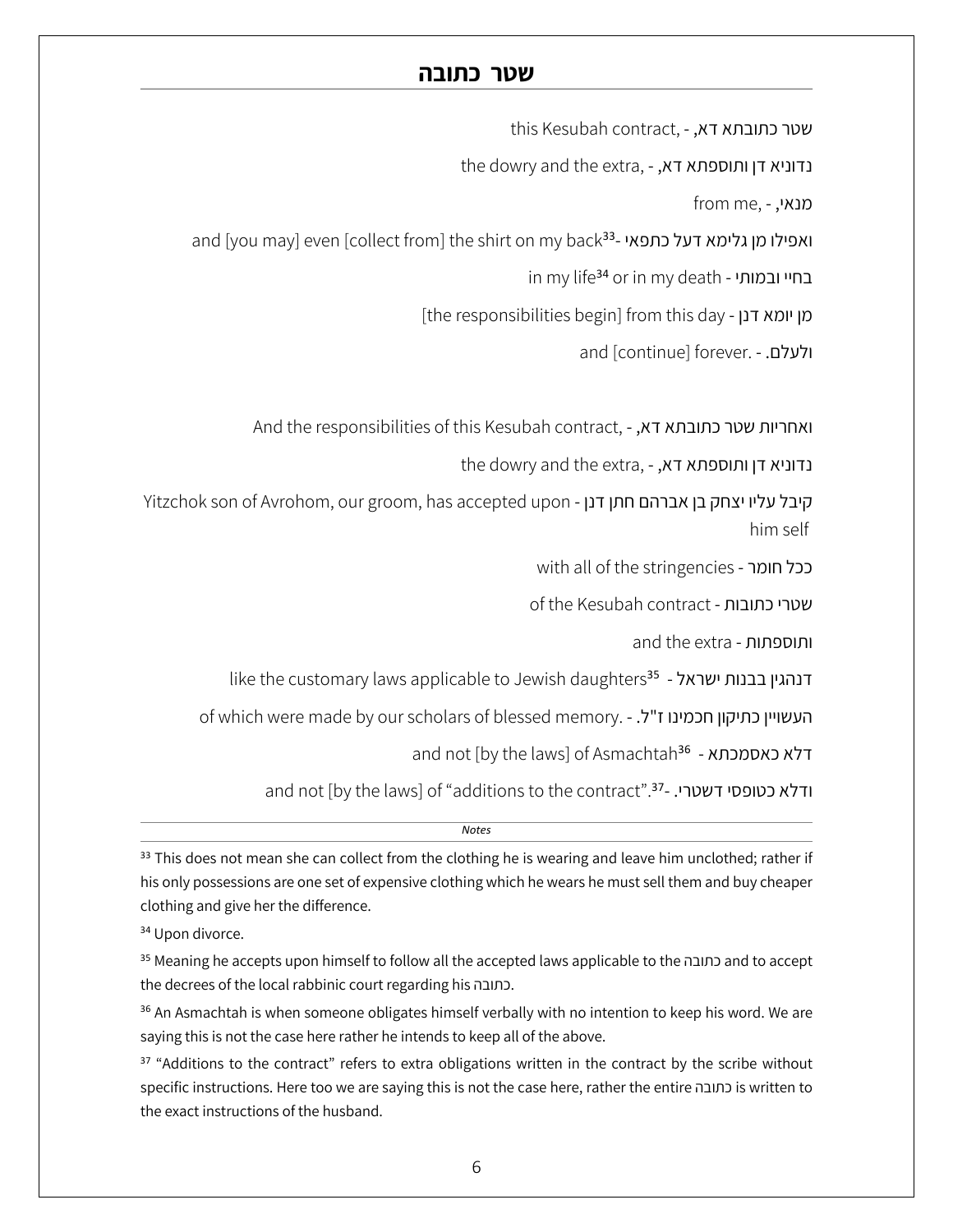this Kesubah contract, - שטר כתובתא דא,

the dowry and the extra, - נדוניא דן ותוספתא דא,

from me, - , יאנמ

and [you may] even [collect from] the shirt on my back<sup>33</sup>- ואפילו מן גלימא דעל כתפאי

in my life<sup>34</sup> or in my death - בחיי ובמותי

[the responsibilities begin] from this day - מן יומא דנן

and [continue] forever. - . םלעלו

And the responsibilities of this Kesubah contract, - ואחריות שטר כתובתא דא,

the dowry and the extra, - נדוניא דן ותוספתא דא

Yitzchok son of Avrohom, our groom, has accepted upon - קיבל עליו יצחק בן אברהם חתן דנן him self

with all of the stringencies - ככל חומר

of the Kesubah contract - **שטרי כתובות** 

and the extra - תותפסותו

like the customary laws applicable to Jewish daughters<sup>35</sup> - דנהגין בבנות ישראל

of which were made by our scholars of blessed memory. - העשויין כתיקון חכמינו ז"ל.

and not [by the laws] of Asmachtah<sup>36</sup> - דלא כאסמכתא

and not [by the laws] of "additions to the contract".<sup>37</sup> - יודלא כטופסי דשטרי.

*Notes*

 $33$  This does not mean she can collect from the clothing he is wearing and leave him unclothed; rather if his only possessions are one set of expensive clothing which he wears he must sell them and buy cheaper clothing and give her the difference.

<sup>34</sup> Upon divorce.

<sup>35</sup> Meaning he accepts upon himself to follow all the accepted laws applicable to the התובה and to accept the decrees of the local rabbinic court regarding his הבותכ .

<sup>36</sup> An Asmachtah is when someone obligates himself verbally with no intention to keep his word. We are saying this is not the case here rather he intends to keep all of the above.

<sup>37</sup> "Additions to the contract" refers to extra obligations written in the contract by the scribe without specific instructions. Here too we are saying this is not the case here, rather the entire הבותכ is written to the exact instructions of the husband.